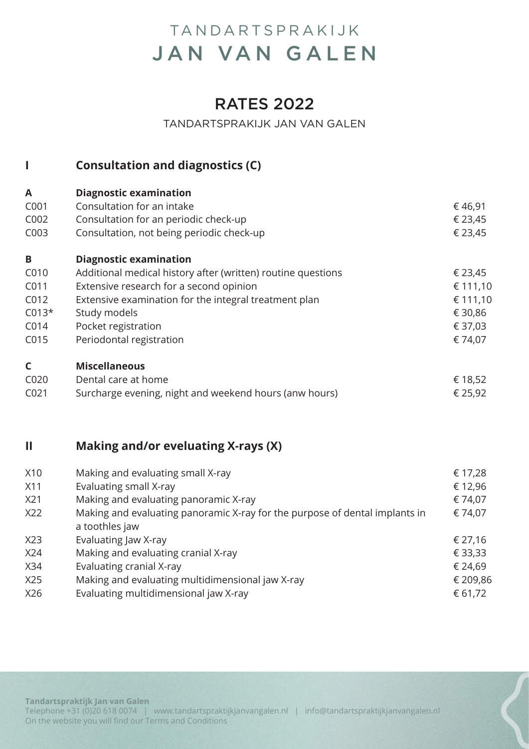### RATES 2022

#### TANDARTSPRAKIJK JAN VAN GALEN

### **I Consultation and diagnostics (C)**

| A                | <b>Diagnostic examination</b>                                |          |
|------------------|--------------------------------------------------------------|----------|
| C001             | Consultation for an intake                                   | €46,91   |
| C002             | Consultation for an periodic check-up                        | € 23,45  |
| C003             | Consultation, not being periodic check-up                    | € 23,45  |
| B                | <b>Diagnostic examination</b>                                |          |
| C010             | Additional medical history after (written) routine questions | € 23,45  |
| C011             | Extensive research for a second opinion                      | € 111,10 |
| C012             | Extensive examination for the integral treatment plan        | € 111,10 |
| $C013*$          | Study models                                                 | € 30,86  |
| C014             | Pocket registration                                          | € 37,03  |
| C015             | Periodontal registration                                     | € 74,07  |
| $\mathsf{C}$     | <b>Miscellaneous</b>                                         |          |
| C020             | Dental care at home                                          | € 18,52  |
| C <sub>021</sub> | Surcharge evening, night and weekend hours (anw hours)       | € 25,92  |

#### **II Making and/or eveluating X-rays (X)**

| X10 | Making and evaluating small X-ray                                           | € 17,28  |
|-----|-----------------------------------------------------------------------------|----------|
| X11 | Evaluating small X-ray                                                      | € 12,96  |
| X21 | Making and evaluating panoramic X-ray                                       | € 74,07  |
| X22 | Making and evaluating panoramic X-ray for the purpose of dental implants in | € 74,07  |
|     | a toothles jaw                                                              |          |
| X23 | Evaluating Jaw X-ray                                                        | € 27,16  |
| X24 | Making and evaluating cranial X-ray                                         | € 33,33  |
| X34 | Evaluating cranial X-ray                                                    | € 24,69  |
| X25 | Making and evaluating multidimensional jaw X-ray                            | € 209,86 |
| X26 | Evaluating multidimensional jaw X-ray                                       | € 61,72  |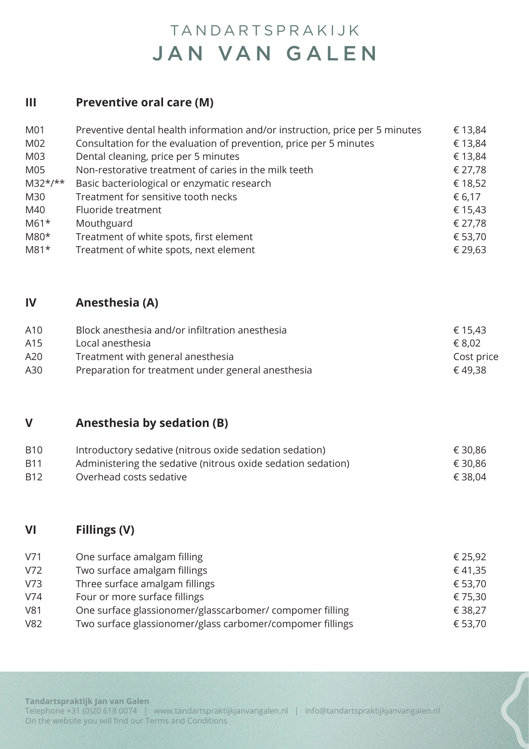#### **III Preventive oral care (M)**

| M01             | Preventive dental health information and/or instruction, price per 5 minutes | € 13,84 |
|-----------------|------------------------------------------------------------------------------|---------|
| M02             | Consultation for the evaluation of prevention, price per 5 minutes           | € 13,84 |
| M <sub>03</sub> | Dental cleaning, price per 5 minutes                                         | € 13,84 |
| M05             | Non-restorative treatment of caries in the milk teeth                        | € 27,78 |
| $M32*/**$       | Basic bacteriological or enzymatic research                                  | € 18,52 |
| M30             | Treatment for sensitive tooth necks                                          | € 6,17  |
| M40             | Fluoride treatment                                                           | € 15,43 |
| $M61*$          | Mouthguard                                                                   | € 27,78 |
| $M80*$          | Treatment of white spots, first element                                      | € 53,70 |
| $M81*$          | Treatment of white spots, next element                                       | € 29,63 |

#### **IV Anesthesia (A)**

| A10 | Block anesthesia and/or infiltration anesthesia    | € 15,43    |
|-----|----------------------------------------------------|------------|
| A15 | Local anesthesia                                   | € 8.02     |
| A20 | Treatment with general anesthesia                  | Cost price |
| A30 | Preparation for treatment under general anesthesia | € 49.38    |

#### **V Anesthesia by sedation (B)**

| <b>B10</b> | Introductory sedative (nitrous oxide sedation sedation)      | € 30,86 |
|------------|--------------------------------------------------------------|---------|
| <b>B11</b> | Administering the sedative (nitrous oxide sedation sedation) | € 30,86 |
| <b>B12</b> | Overhead costs sedative                                      | € 38,04 |

#### **VI Fillings (V)**

| V71 | One surface amalgam filling                               | € 25,92 |
|-----|-----------------------------------------------------------|---------|
| V72 | Two surface amalgam fillings                              | € 41,35 |
|     |                                                           |         |
| V73 | Three surface amalgam fillings                            | € 53,70 |
| V74 | Four or more surface fillings                             | € 75,30 |
| V81 | One surface glassionomer/glasscarbomer/compomer filling   | € 38,27 |
| V82 | Two surface glassionomer/glass carbomer/compomer fillings | € 53,70 |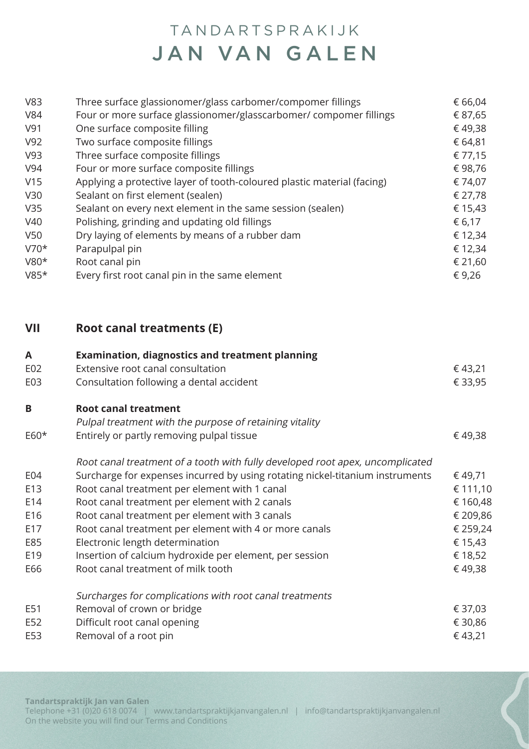| V83    | Three surface glassionomer/glass carbomer/compomer fillings             | € 66,04 |
|--------|-------------------------------------------------------------------------|---------|
| V84    | Four or more surface glassionomer/glasscarbomer/ compomer fillings      | € 87,65 |
| V91    | One surface composite filling                                           | €49,38  |
| V92    | Two surface composite fillings                                          | € 64,81 |
| V93    | Three surface composite fillings                                        | € 77,15 |
| V94    | Four or more surface composite fillings                                 | €98,76  |
| V15    | Applying a protective layer of tooth-coloured plastic material (facing) | € 74,07 |
| V30    | Sealant on first element (sealen)                                       | € 27,78 |
| V35    | Sealant on every next element in the same session (sealen)              | € 15,43 |
| V40    | Polishing, grinding and updating old fillings                           | € 6,17  |
| V50    | Dry laying of elements by means of a rubber dam                         | € 12,34 |
| $V70*$ | Parapulpal pin                                                          | € 12,34 |
| $V80*$ | Root canal pin                                                          | € 21,60 |
| $V85*$ | Every first root canal pin in the same element                          | €9,26   |
|        |                                                                         |         |

### **VII Root canal treatments (E)**

| A      | <b>Examination, diagnostics and treatment planning</b>                        |          |
|--------|-------------------------------------------------------------------------------|----------|
| E02    | Extensive root canal consultation                                             | € 43,21  |
| E03    | Consultation following a dental accident                                      | € 33,95  |
| B      | <b>Root canal treatment</b>                                                   |          |
|        | Pulpal treatment with the purpose of retaining vitality                       |          |
| $E60*$ | Entirely or partly removing pulpal tissue                                     | € 49,38  |
|        | Root canal treatment of a tooth with fully developed root apex, uncomplicated |          |
| E04    | Surcharge for expenses incurred by using rotating nickel-titanium instruments | € 49,71  |
| E13    | Root canal treatment per element with 1 canal                                 | € 111,10 |
| E14    | Root canal treatment per element with 2 canals                                | € 160,48 |
| E16    | Root canal treatment per element with 3 canals                                | € 209,86 |
| E17    | Root canal treatment per element with 4 or more canals                        | € 259,24 |
| E85    | Electronic length determination                                               | € 15,43  |
| E19    | Insertion of calcium hydroxide per element, per session                       | € 18,52  |
| E66    | Root canal treatment of milk tooth                                            | €49,38   |
|        | Surcharges for complications with root canal treatments                       |          |
| E51    | Removal of crown or bridge                                                    | € 37,03  |
| E52    | Difficult root canal opening                                                  | € 30,86  |
| E53    | Removal of a root pin                                                         | €43,21   |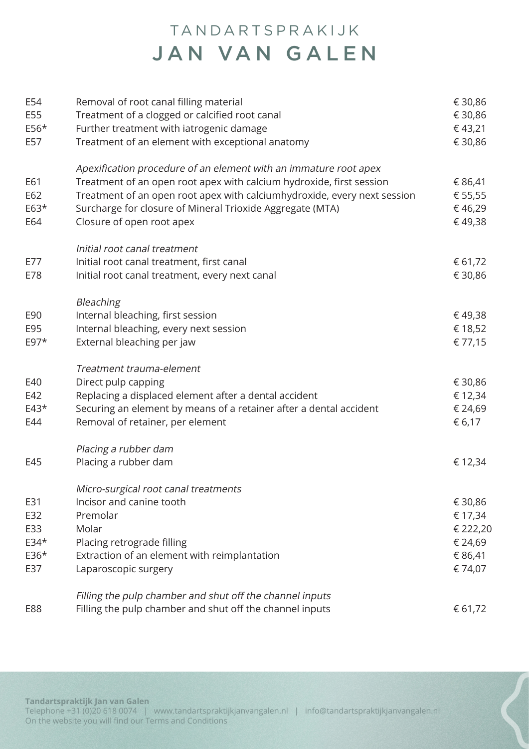| E54<br>E55<br>$E56*$<br>E57 | Removal of root canal filling material<br>Treatment of a clogged or calcified root canal<br>Further treatment with iatrogenic damage<br>Treatment of an element with exceptional anatomy | € 30,86<br>€ 30,86<br>€43,21<br>€ 30,86 |
|-----------------------------|------------------------------------------------------------------------------------------------------------------------------------------------------------------------------------------|-----------------------------------------|
| E61                         | Apexification procedure of an element with an immature root apex<br>Treatment of an open root apex with calcium hydroxide, first session                                                 | € 86,41                                 |
| E62<br>$E63*$<br>E64        | Treatment of an open root apex with calciumhydroxide, every next session<br>Surcharge for closure of Mineral Trioxide Aggregate (MTA)<br>Closure of open root apex                       | € 55,55<br>€46,29<br>€49,38             |
| E77                         | Initial root canal treatment<br>Initial root canal treatment, first canal                                                                                                                | € 61,72                                 |
| E78                         | Initial root canal treatment, every next canal                                                                                                                                           | € 30,86                                 |
|                             | Bleaching                                                                                                                                                                                |                                         |
| E90                         | Internal bleaching, first session                                                                                                                                                        | € 49,38                                 |
| E95<br>$E97*$               | Internal bleaching, every next session<br>External bleaching per jaw                                                                                                                     | € 18,52<br>€ 77,15                      |
|                             | Treatment trauma-element                                                                                                                                                                 |                                         |
| E40                         | Direct pulp capping                                                                                                                                                                      | € 30,86                                 |
| E42                         | Replacing a displaced element after a dental accident                                                                                                                                    | € 12,34                                 |
| $E43*$<br>E44               | Securing an element by means of a retainer after a dental accident<br>Removal of retainer, per element                                                                                   | € 24,69<br>€ 6,17                       |
|                             | Placing a rubber dam                                                                                                                                                                     |                                         |
| E45                         | Placing a rubber dam                                                                                                                                                                     | € 12,34                                 |
|                             | Micro-surgical root canal treatments                                                                                                                                                     |                                         |
| E31                         | Incisor and canine tooth                                                                                                                                                                 | € 30,86                                 |
| E32                         | Premolar                                                                                                                                                                                 | € 17,34                                 |
| E33                         | Molar                                                                                                                                                                                    | € 222,20                                |
| E34*                        | Placing retrograde filling                                                                                                                                                               | € 24,69                                 |
| E36*<br>E37                 | Extraction of an element with reimplantation<br>Laparoscopic surgery                                                                                                                     | € 86,41<br>€ 74,07                      |
|                             | Filling the pulp chamber and shut off the channel inputs                                                                                                                                 |                                         |
| E88                         | Filling the pulp chamber and shut off the channel inputs                                                                                                                                 | € 61,72                                 |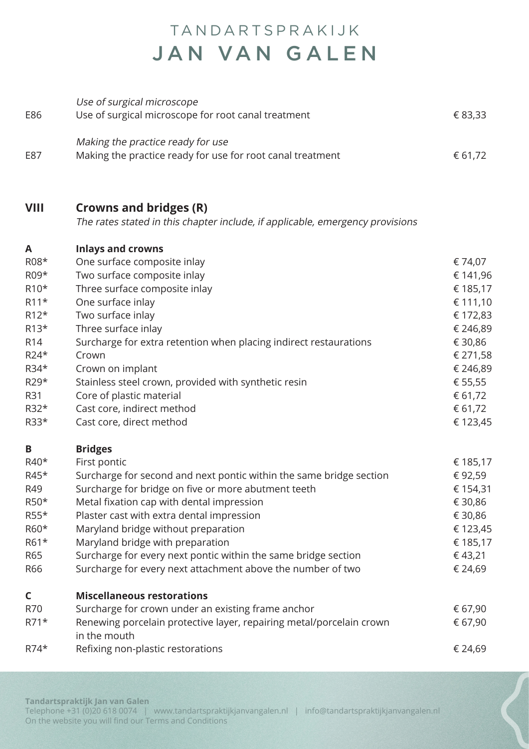| E86               | Use of surgical microscope<br>Use of surgical microscope for root canal treatment               | € 83,33  |
|-------------------|-------------------------------------------------------------------------------------------------|----------|
| E87               | Making the practice ready for use<br>Making the practice ready for use for root canal treatment | € 61,72  |
|                   |                                                                                                 |          |
| <b>VIII</b>       | <b>Crowns and bridges (R)</b>                                                                   |          |
|                   | The rates stated in this chapter include, if applicable, emergency provisions                   |          |
| A                 | <b>Inlays and crowns</b>                                                                        |          |
| R08*              | One surface composite inlay                                                                     | € 74,07  |
| R09*              | Two surface composite inlay                                                                     | € 141,96 |
| R <sub>10</sub> * | Three surface composite inlay                                                                   | € 185,17 |
| $R11*$            | One surface inlay                                                                               | € 111,10 |
| $R12*$            | Two surface inlay                                                                               | € 172,83 |
| $R13*$            | Three surface inlay                                                                             | € 246,89 |
| R <sub>14</sub>   | Surcharge for extra retention when placing indirect restaurations                               | € 30,86  |
| $R24*$            | Crown                                                                                           | € 271,58 |
| R34*              | Crown on implant                                                                                | € 246,89 |
| R29*              | Stainless steel crown, provided with synthetic resin                                            | € 55,55  |
| R31               | Core of plastic material                                                                        | € 61,72  |
| R32*              | Cast core, indirect method                                                                      | € 61,72  |
| R33*              | Cast core, direct method                                                                        | € 123,45 |
| B                 | <b>Bridges</b>                                                                                  |          |
| R40*              | First pontic                                                                                    | € 185,17 |
| R45*              | Surcharge for second and next pontic within the same bridge section                             | € 92,59  |
| R49               | Surcharge for bridge on five or more abutment teeth                                             | € 154,31 |
| R50*              | Metal fixation cap with dental impression                                                       | € 30,86  |
| R55*              | Plaster cast with extra dental impression                                                       | € 30,86  |
| R60*              | Maryland bridge without preparation                                                             | € 123,45 |
| R61*              | Maryland bridge with preparation                                                                | € 185,17 |
| R65               | Surcharge for every next pontic within the same bridge section                                  | € 43,21  |
| R66               | Surcharge for every next attachment above the number of two                                     | € 24,69  |
| C                 | <b>Miscellaneous restorations</b>                                                               |          |
| R70               | Surcharge for crown under an existing frame anchor                                              | € 67,90  |
| $R71*$            | Renewing porcelain protective layer, repairing metal/porcelain crown<br>in the mouth            | € 67,90  |
| $R74*$            | Refixing non-plastic restorations                                                               | € 24,69  |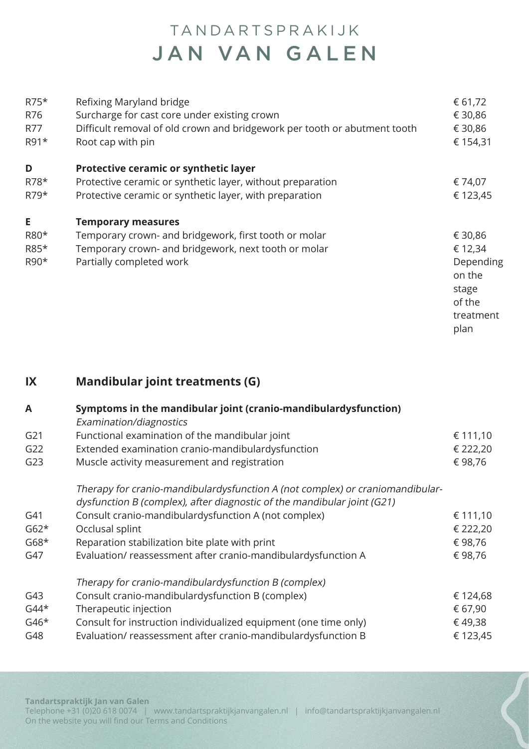| $R75*$<br>R76<br>R77<br>R91* | Refixing Maryland bridge<br>Surcharge for cast core under existing crown<br>Difficult removal of old crown and bridgework per tooth or abutment tooth<br>Root cap with pin | € 61,72<br>€ 30,86<br>€ 30,86<br>€ 154,31 |
|------------------------------|----------------------------------------------------------------------------------------------------------------------------------------------------------------------------|-------------------------------------------|
| D                            | Protective ceramic or synthetic layer                                                                                                                                      |                                           |
| R78*                         | Protective ceramic or synthetic layer, without preparation                                                                                                                 | € 74,07                                   |
| $R79*$                       | Protective ceramic or synthetic layer, with preparation                                                                                                                    | € 123,45                                  |
| E                            | <b>Temporary measures</b>                                                                                                                                                  |                                           |
| R80*                         | Temporary crown- and bridgework, first tooth or molar                                                                                                                      | € 30,86                                   |
| R85*                         | Temporary crown- and bridgework, next tooth or molar                                                                                                                       | € 12,34                                   |
| R90*                         | Partially completed work                                                                                                                                                   | Depending                                 |
|                              |                                                                                                                                                                            | on the                                    |
|                              |                                                                                                                                                                            | stage                                     |
|                              |                                                                                                                                                                            | of the                                    |
|                              |                                                                                                                                                                            | treatment                                 |
|                              |                                                                                                                                                                            | plan                                      |

**IX Mandibular joint treatments (G)**

| A      | Symptoms in the mandibular joint (cranio-mandibulardysfunction)<br>Examination/diagnostics |          |
|--------|--------------------------------------------------------------------------------------------|----------|
| G21    | Functional examination of the mandibular joint                                             | € 111,10 |
| G22    | Extended examination cranio-mandibulardysfunction                                          | € 222,20 |
| G23    | Muscle activity measurement and registration                                               | € 98,76  |
|        | Therapy for cranio-mandibulardysfunction A (not complex) or craniomandibular-              |          |
|        | dysfunction B (complex), after diagnostic of the mandibular joint (G21)                    |          |
| G41    | Consult cranio-mandibulardysfunction A (not complex)                                       | € 111,10 |
| $G62*$ | Occlusal splint                                                                            | € 222,20 |
| $G68*$ | Reparation stabilization bite plate with print                                             | €98,76   |
| G47    | Evaluation/reassessment after cranio-mandibulardysfunction A                               | € 98,76  |
|        | Therapy for cranio-mandibulardysfunction B (complex)                                       |          |
| G43    | Consult cranio-mandibulardysfunction B (complex)                                           | € 124,68 |
| $G44*$ | Therapeutic injection                                                                      | € 67,90  |
| $G46*$ | Consult for instruction individualized equipment (one time only)                           | €49,38   |
| G48    | Evaluation/reassessment after cranio-mandibulardysfunction B                               | € 123,45 |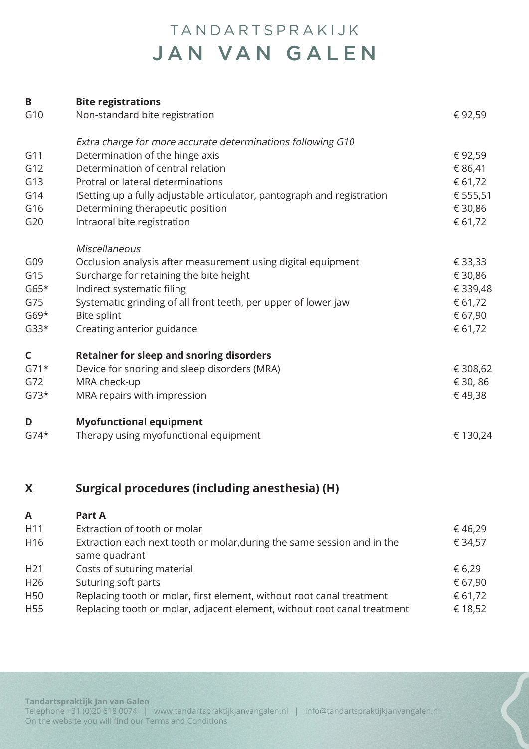| B<br><b>Bite registrations</b>                                                 |          |
|--------------------------------------------------------------------------------|----------|
| G10<br>Non-standard bite registration                                          | €92,59   |
| Extra charge for more accurate determinations following G10                    |          |
| Determination of the hinge axis<br>G11                                         | € 92,59  |
| G12<br>Determination of central relation                                       | € 86,41  |
| G13<br>Protral or lateral determinations                                       | € 61,72  |
| G14<br>ISetting up a fully adjustable articulator, pantograph and registration | € 555,51 |
| G16<br>Determining therapeutic position                                        | € 30,86  |
| Intraoral bite registration<br>G20                                             | € 61,72  |
| Miscellaneous                                                                  |          |
| G09<br>Occlusion analysis after measurement using digital equipment            | € 33,33  |
| G15<br>Surcharge for retaining the bite height                                 | € 30,86  |
| $G65*$<br>Indirect systematic filing                                           | € 339,48 |
| G75<br>Systematic grinding of all front teeth, per upper of lower jaw          | € 61,72  |
| <b>Bite splint</b><br>$G69*$                                                   | € 67,90  |
| $G33*$<br>Creating anterior guidance                                           | € 61,72  |
| <b>Retainer for sleep and snoring disorders</b><br>C                           |          |
| $G71*$<br>Device for snoring and sleep disorders (MRA)                         | € 308,62 |
| G72<br>MRA check-up                                                            | € 30, 86 |
| $G73*$<br>MRA repairs with impression                                          | € 49,38  |
| <b>Myofunctional equipment</b><br>D                                            |          |
| $G74*$<br>Therapy using myofunctional equipment                                | € 130,24 |

### **X Surgical procedures (including anesthesia) (H)**

| $\mathsf{A}$    | <b>Part A</b>                                                            |         |
|-----------------|--------------------------------------------------------------------------|---------|
| H11             | Extraction of tooth or molar                                             | €46,29  |
| H <sub>16</sub> | Extraction each next tooth or molar, during the same session and in the  | € 34,57 |
|                 | same quadrant                                                            |         |
| H <sub>21</sub> | Costs of suturing material                                               | € 6,29  |
| H <sub>26</sub> | Suturing soft parts                                                      | € 67,90 |
| H <sub>50</sub> | Replacing tooth or molar, first element, without root canal treatment    | € 61,72 |
| H <sub>55</sub> | Replacing tooth or molar, adjacent element, without root canal treatment | € 18,52 |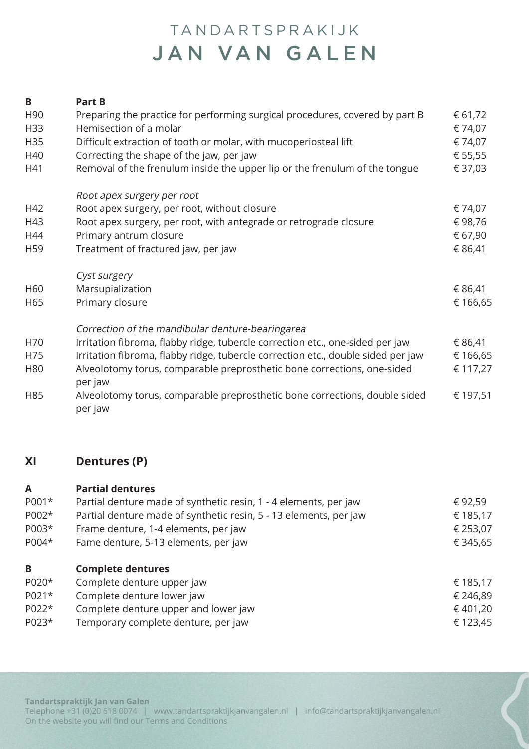#### **B Part B** H90 Preparing the practice for performing surgical procedures, covered by part B  $\epsilon$  61,72 H33 Hemisection of a molar  $\epsilon$  74,07 H35 Difficult extraction of tooth or molar, with mucoperiosteal lift  $\epsilon$  74,07 H40 Correcting the shape of the jaw, per jaw  $\epsilon$  55,55  $\epsilon$ H41 Removal of the frenulum inside the upper lip or the frenulum of the tongue  $\epsilon$  37,03 Root apex surgery per root H42 Root apex surgery, per root, without closure  $\epsilon$  74,07 H43 Root apex surgery, per root, with antegrade or retrograde closure  $\epsilon$  98,76 H44 Primary antrum closure  $67.90$ H59 Treatment of fractured jaw, per jaw  $686,41$ Cyst surgery  $H60$  Marsupialization  $\epsilon$  86,41 H65 Primary closure  $\epsilon$  166,65 Correction of the mandibular denture-bearingarea H70 Irritation fibroma, flabby ridge, tubercle correction etc., one-sided per jaw  $\epsilon$  86,41 H75 Irritation fibroma, flabby ridge, tubercle correction etc., double sided per jaw  $€ 166.65$ H80 Alveolotomy torus, comparable preprosthetic bone corrections, one-sided  $\epsilon$  117,27 per jaw H85 Alveolotomy torus, comparable preprosthetic bone corrections, double sided  $\epsilon$  197,51 per jaw

#### **XI Dentures (P)**

| $\mathsf{A}$ | <b>Partial dentures</b>                                           |          |
|--------------|-------------------------------------------------------------------|----------|
| P001*        | Partial denture made of synthetic resin, 1 - 4 elements, per jaw  | € 92,59  |
| P002*        | Partial denture made of synthetic resin, 5 - 13 elements, per jaw | € 185,17 |
| P003*        | Frame denture, 1-4 elements, per jaw                              | € 253,07 |
| P004*        | Fame denture, 5-13 elements, per jaw                              | € 345,65 |
| B            | <b>Complete dentures</b>                                          |          |
| P020*        | Complete denture upper jaw                                        | € 185,17 |
| P021*        | Complete denture lower jaw                                        | € 246,89 |
| P022*        | Complete denture upper and lower jaw                              | € 401,20 |
| P023*        | Temporary complete denture, per jaw                               | € 123,45 |
|              |                                                                   |          |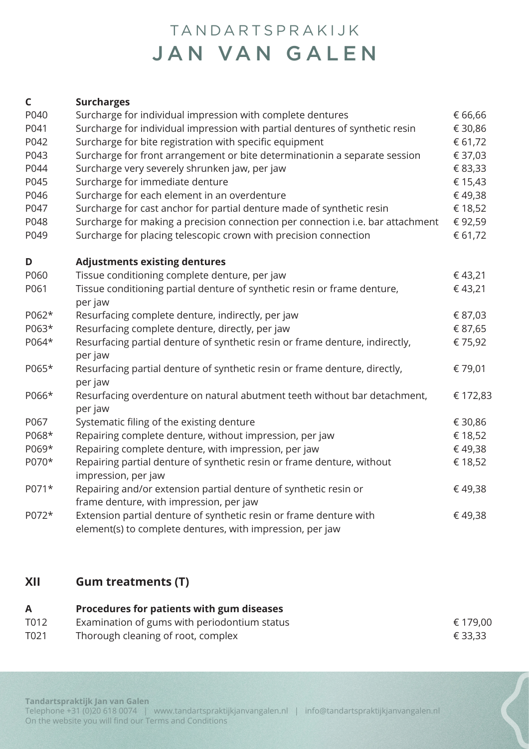| C     | <b>Surcharges</b>                                                                                                               |          |
|-------|---------------------------------------------------------------------------------------------------------------------------------|----------|
| P040  | Surcharge for individual impression with complete dentures                                                                      | € 66,66  |
| P041  | Surcharge for individual impression with partial dentures of synthetic resin                                                    | € 30,86  |
| P042  | Surcharge for bite registration with specific equipment                                                                         | € 61,72  |
| P043  | Surcharge for front arrangement or bite determinationin a separate session                                                      | € 37,03  |
| P044  | Surcharge very severely shrunken jaw, per jaw                                                                                   | € 83,33  |
| P045  | Surcharge for immediate denture                                                                                                 | € 15,43  |
| P046  | Surcharge for each element in an overdenture                                                                                    | €49,38   |
| P047  | Surcharge for cast anchor for partial denture made of synthetic resin                                                           | € 18,52  |
| P048  | Surcharge for making a precision connection per connection i.e. bar attachment                                                  | €92,59   |
| P049  | Surcharge for placing telescopic crown with precision connection                                                                | € 61,72  |
| D     | <b>Adjustments existing dentures</b>                                                                                            |          |
| P060  | Tissue conditioning complete denture, per jaw                                                                                   | €43,21   |
| P061  | Tissue conditioning partial denture of synthetic resin or frame denture,<br>per jaw                                             | €43,21   |
| P062* | Resurfacing complete denture, indirectly, per jaw                                                                               | € 87,03  |
| P063* | Resurfacing complete denture, directly, per jaw                                                                                 | € 87,65  |
| P064* | Resurfacing partial denture of synthetic resin or frame denture, indirectly,<br>per jaw                                         | € 75,92  |
| P065* | Resurfacing partial denture of synthetic resin or frame denture, directly,<br>per jaw                                           | € 79,01  |
| P066* | Resurfacing overdenture on natural abutment teeth without bar detachment,<br>per jaw                                            | € 172,83 |
| P067  | Systematic filing of the existing denture                                                                                       | € 30,86  |
| P068* | Repairing complete denture, without impression, per jaw                                                                         | € 18,52  |
| P069* | Repairing complete denture, with impression, per jaw                                                                            | €49,38   |
| P070* | Repairing partial denture of synthetic resin or frame denture, without<br>impression, per jaw                                   | € 18,52  |
| P071* | Repairing and/or extension partial denture of synthetic resin or<br>frame denture, with impression, per jaw                     | €49,38   |
| P072* | Extension partial denture of synthetic resin or frame denture with<br>element(s) to complete dentures, with impression, per jaw | €49,38   |

#### **XII Gum treatments (T)**

#### **A Procedures for patients with gum diseases** T012 Examination of gums with periodontium status  $\epsilon$  179,00 T021 Thorough cleaning of root, complex  $\epsilon$  33,33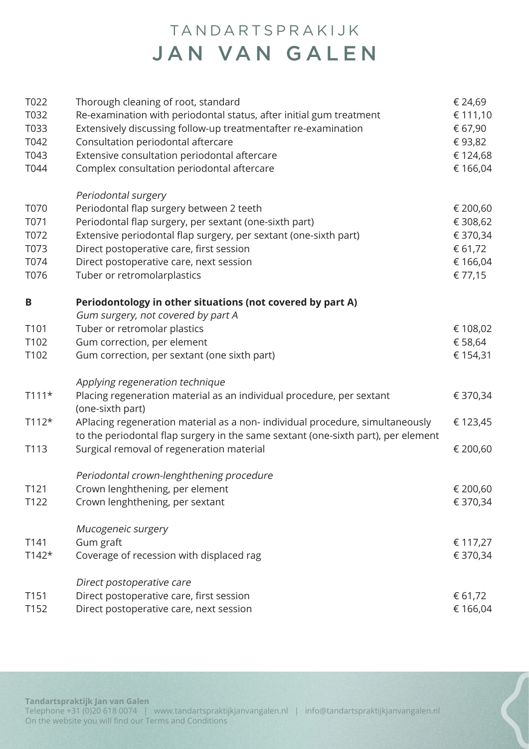| T022<br>T032<br>T033<br>T042<br>T043<br>T044 | Thorough cleaning of root, standard<br>Re-examination with periodontal status, after initial gum treatment<br>Extensively discussing follow-up treatmentafter re-examination<br>Consultation periodontal aftercare<br>Extensive consultation periodontal aftercare<br>Complex consultation periodontal aftercare    | € 24,69<br>€ 111,10<br>€ 67,90<br>€93,82<br>€ 124,68<br>€ 166,04   |
|----------------------------------------------|---------------------------------------------------------------------------------------------------------------------------------------------------------------------------------------------------------------------------------------------------------------------------------------------------------------------|--------------------------------------------------------------------|
| T070<br>T071<br>T072<br>T073<br>T074<br>T076 | Periodontal surgery<br>Periodontal flap surgery between 2 teeth<br>Periodontal flap surgery, per sextant (one-sixth part)<br>Extensive periodontal flap surgery, per sextant (one-sixth part)<br>Direct postoperative care, first session<br>Direct postoperative care, next session<br>Tuber or retromolarplastics | € 200,60<br>€ 308,62<br>€ 370,34<br>€ 61,72<br>€ 166,04<br>€ 77,15 |
| B                                            | Periodontology in other situations (not covered by part A)                                                                                                                                                                                                                                                          |                                                                    |
| T101<br>T102                                 | Gum surgery, not covered by part A<br>Tuber or retromolar plastics<br>Gum correction, per element                                                                                                                                                                                                                   | € 108,02<br>€ 58,64                                                |
| T102                                         | Gum correction, per sextant (one sixth part)                                                                                                                                                                                                                                                                        | € 154,31                                                           |
| $T111*$                                      | Applying regeneration technique<br>Placing regeneration material as an individual procedure, per sextant<br>(one-sixth part)                                                                                                                                                                                        | € 370,34                                                           |
| $T112*$                                      | APlacing regeneration material as a non- individual procedure, simultaneously<br>to the periodontal flap surgery in the same sextant (one-sixth part), per element                                                                                                                                                  | € 123,45                                                           |
| T113                                         | Surgical removal of regeneration material                                                                                                                                                                                                                                                                           | € 200,60                                                           |
| T <sub>121</sub><br>T122                     | Periodontal crown-lenghthening procedure<br>Crown lenghthening, per element<br>Crown lenghthening, per sextant                                                                                                                                                                                                      | € 200,60<br>€ 370,34                                               |
| T141<br>$T142*$                              | Mucogeneic surgery<br>Gum graft<br>Coverage of recession with displaced rag                                                                                                                                                                                                                                         | € 117,27<br>€ 370,34                                               |
| T151<br>T152                                 | Direct postoperative care<br>Direct postoperative care, first session<br>Direct postoperative care, next session                                                                                                                                                                                                    | € 61,72<br>€ 166,04                                                |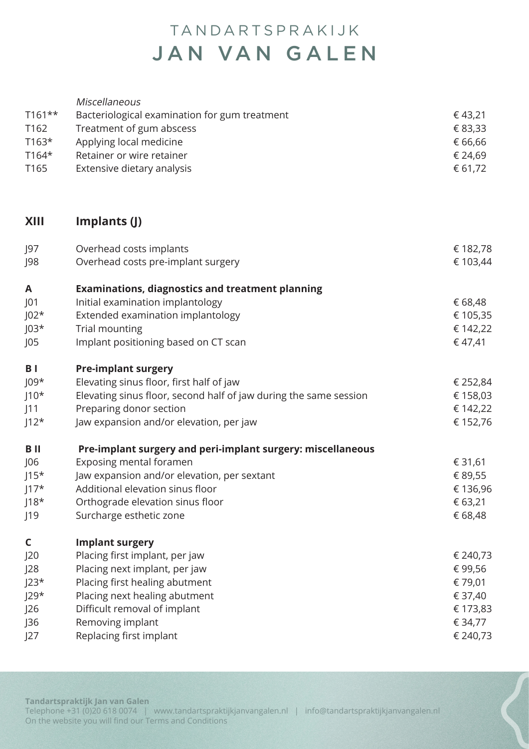| $T161**$<br>T <sub>162</sub><br>$T163*$<br>$T164*$<br>T165 | Miscellaneous<br>Bacteriological examination for gum treatment<br>Treatment of gum abscess<br>Applying local medicine<br>Retainer or wire retainer<br>Extensive dietary analysis | €43,21<br>€ 83,33<br>€ 66,66<br>€ 24,69<br>€ 61,72 |
|------------------------------------------------------------|----------------------------------------------------------------------------------------------------------------------------------------------------------------------------------|----------------------------------------------------|
| <b>XIII</b>                                                | Implants (J)                                                                                                                                                                     |                                                    |
| J97<br>J98                                                 | Overhead costs implants<br>Overhead costs pre-implant surgery                                                                                                                    | € 182,78<br>€ 103,44                               |
| A                                                          | <b>Examinations, diagnostics and treatment planning</b>                                                                                                                          |                                                    |
| J01                                                        | Initial examination implantology                                                                                                                                                 | € 68,48                                            |
| $J02*$                                                     | Extended examination implantology                                                                                                                                                | € 105,35                                           |
| $103*$                                                     | Trial mounting                                                                                                                                                                   | € 142,22                                           |
| JO5                                                        | Implant positioning based on CT scan                                                                                                                                             | €47,41                                             |
| B <sub>1</sub>                                             | <b>Pre-implant surgery</b>                                                                                                                                                       |                                                    |
| $J09*$                                                     | Elevating sinus floor, first half of jaw                                                                                                                                         | € 252,84                                           |
| $J10*$                                                     | Elevating sinus floor, second half of jaw during the same session                                                                                                                | € 158,03                                           |
| J11                                                        | Preparing donor section                                                                                                                                                          | € 142,22                                           |
| $J12*$                                                     | Jaw expansion and/or elevation, per jaw                                                                                                                                          | € 152,76                                           |
| B II                                                       | Pre-implant surgery and peri-implant surgery: miscellaneous                                                                                                                      |                                                    |
| J06                                                        | Exposing mental foramen                                                                                                                                                          | € 31,61                                            |
| $J15*$                                                     | Jaw expansion and/or elevation, per sextant                                                                                                                                      | € 89,55                                            |
| $117*$                                                     | Additional elevation sinus floor                                                                                                                                                 | € 136,96                                           |
| $118*$                                                     | Orthograde elevation sinus floor                                                                                                                                                 | € 63,21                                            |
| J19                                                        | Surcharge esthetic zone                                                                                                                                                          | € 68,48                                            |
| C                                                          | <b>Implant surgery</b>                                                                                                                                                           |                                                    |
| J20                                                        | Placing first implant, per jaw                                                                                                                                                   | € 240,73                                           |
| J28                                                        | Placing next implant, per jaw                                                                                                                                                    | €99,56                                             |
| $J23*$                                                     | Placing first healing abutment                                                                                                                                                   | € 79,01                                            |
| $J29*$                                                     | Placing next healing abutment                                                                                                                                                    | € 37,40                                            |
| J26                                                        | Difficult removal of implant                                                                                                                                                     | € 173,83                                           |
| J36                                                        | Removing implant                                                                                                                                                                 | € 34,77                                            |
| J27                                                        | Replacing first implant                                                                                                                                                          | € 240,73                                           |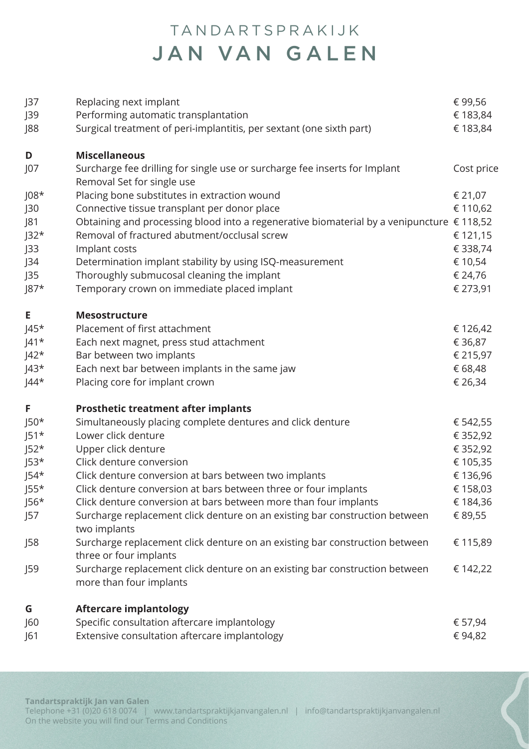| J37<br>J39<br>J88 | Replacing next implant<br>Performing automatic transplantation<br>Surgical treatment of peri-implantitis, per sextant (one sixth part) | € 99,56<br>€ 183,84<br>€ 183,84 |
|-------------------|----------------------------------------------------------------------------------------------------------------------------------------|---------------------------------|
| D                 | <b>Miscellaneous</b>                                                                                                                   |                                 |
| J07               | Surcharge fee drilling for single use or surcharge fee inserts for Implant<br>Removal Set for single use                               | Cost price                      |
| $108*$            | Placing bone substitutes in extraction wound                                                                                           | € 21,07                         |
| J30               | Connective tissue transplant per donor place                                                                                           | € 110,62                        |
| J81               | Obtaining and processing blood into a regenerative biomaterial by a venipuncture $\epsilon$ 118,52                                     |                                 |
| $J32*$            | Removal of fractured abutment/occlusal screw                                                                                           | € 121,15                        |
| J33               | Implant costs                                                                                                                          | € 338,74                        |
| J34               | Determination implant stability by using ISQ-measurement                                                                               | € 10,54                         |
| J35               | Thoroughly submucosal cleaning the implant                                                                                             | € 24,76                         |
| $J87*$            | Temporary crown on immediate placed implant                                                                                            | € 273,91                        |
| Е                 | <b>Mesostructure</b>                                                                                                                   |                                 |
| $J45*$            | Placement of first attachment                                                                                                          | € 126,42                        |
| $J41*$            | Each next magnet, press stud attachment                                                                                                | € 36,87                         |
| $J42*$            | Bar between two implants                                                                                                               | € 215,97                        |
| $J43*$            | Each next bar between implants in the same jaw                                                                                         | € 68,48                         |
| $J44*$            | Placing core for implant crown                                                                                                         | € 26,34                         |
| F                 | <b>Prosthetic treatment after implants</b>                                                                                             |                                 |
| $J50*$            | Simultaneously placing complete dentures and click denture                                                                             | € 542,55                        |
| $J51*$            | Lower click denture                                                                                                                    | € 352,92                        |
| $J52*$            | Upper click denture                                                                                                                    | € 352,92                        |
| $J53*$            | Click denture conversion                                                                                                               | € 105,35                        |
| $J54*$            | Click denture conversion at bars between two implants                                                                                  | € 136,96                        |
| $J55*$            | Click denture conversion at bars between three or four implants                                                                        | € 158,03                        |
| $J56*$            | Click denture conversion at bars between more than four implants                                                                       | € 184,36                        |
| J57               | Surcharge replacement click denture on an existing bar construction between<br>two implants                                            | € 89,55                         |
| J58               | Surcharge replacement click denture on an existing bar construction between<br>three or four implants                                  | € 115,89                        |
| J59               | Surcharge replacement click denture on an existing bar construction between<br>more than four implants                                 | € 142,22                        |
| G                 | <b>Aftercare implantology</b>                                                                                                          |                                 |
| J60               | Specific consultation aftercare implantology                                                                                           | € 57,94                         |

| 61 | Extensive consultation aftercare implantology | €94,82 |
|----|-----------------------------------------------|--------|